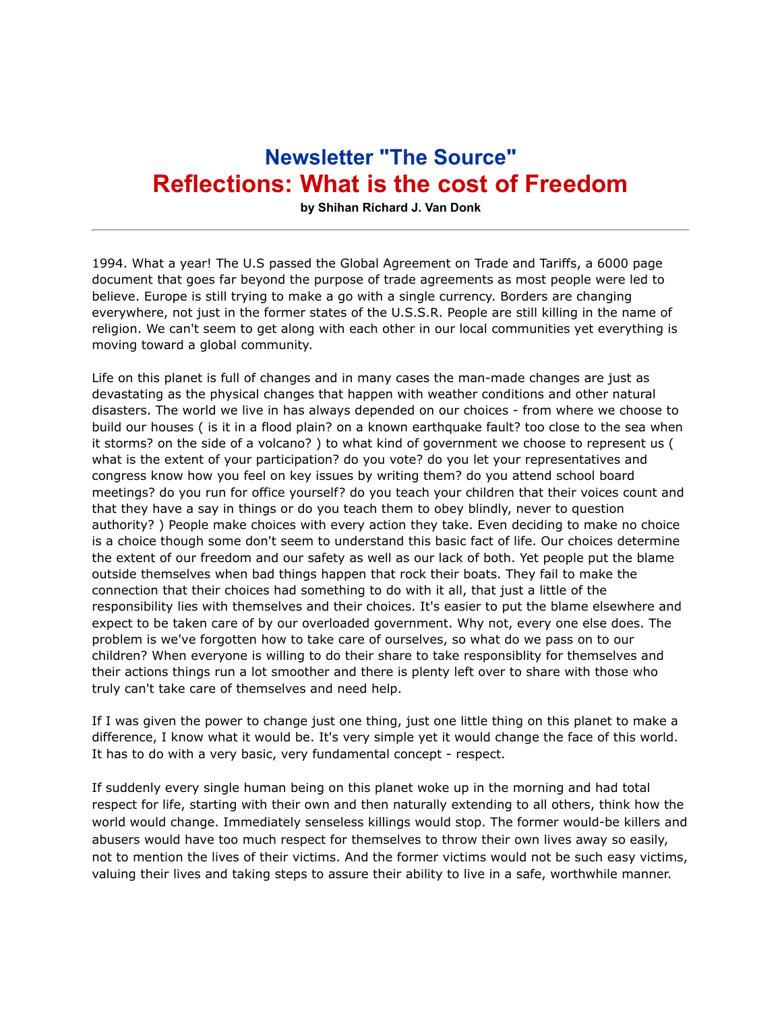## **Newsletter "The Source" Reflections: What is the cost of Freedom**

**by Shihan Richard J. Van Donk**

1994. What a year! The U.S passed the Global Agreement on Trade and Tariffs, a 6000 page document that goes far beyond the purpose of trade agreements as most people were led to believe. Europe is still trying to make a go with a single currency. Borders are changing everywhere, not just in the former states of the U.S.S.R. People are still killing in the name of religion. We can't seem to get along with each other in our local communities yet everything is moving toward a global community.

Life on this planet is full of changes and in many cases the man-made changes are just as devastating as the physical changes that happen with weather conditions and other natural disasters. The world we live in has always depended on our choices - from where we choose to build our houses ( is it in a flood plain? on a known earthquake fault? too close to the sea when it storms? on the side of a volcano? ) to what kind of government we choose to represent us ( what is the extent of your participation? do you vote? do you let your representatives and congress know how you feel on key issues by writing them? do you attend school board meetings? do you run for office yourself? do you teach your children that their voices count and that they have a say in things or do you teach them to obey blindly, never to question authority? ) People make choices with every action they take. Even deciding to make no choice is a choice though some don't seem to understand this basic fact of life. Our choices determine the extent of our freedom and our safety as well as our lack of both. Yet people put the blame outside themselves when bad things happen that rock their boats. They fail to make the connection that their choices had something to do with it all, that just a little of the responsibility lies with themselves and their choices. It's easier to put the blame elsewhere and expect to be taken care of by our overloaded government. Why not, every one else does. The problem is we've forgotten how to take care of ourselves, so what do we pass on to our children? When everyone is willing to do their share to take responsiblity for themselves and their actions things run a lot smoother and there is plenty left over to share with those who truly can't take care of themselves and need help.

If I was given the power to change just one thing, just one little thing on this planet to make a difference, I know what it would be. It's very simple yet it would change the face of this world. It has to do with a very basic, very fundamental concept - respect.

If suddenly every single human being on this planet woke up in the morning and had total respect for life, starting with their own and then naturally extending to all others, think how the world would change. Immediately senseless killings would stop. The former would-be killers and abusers would have too much respect for themselves to throw their own lives away so easily, not to mention the lives of their victims. And the former victims would not be such easy victims, valuing their lives and taking steps to assure their ability to live in a safe, worthwhile manner.